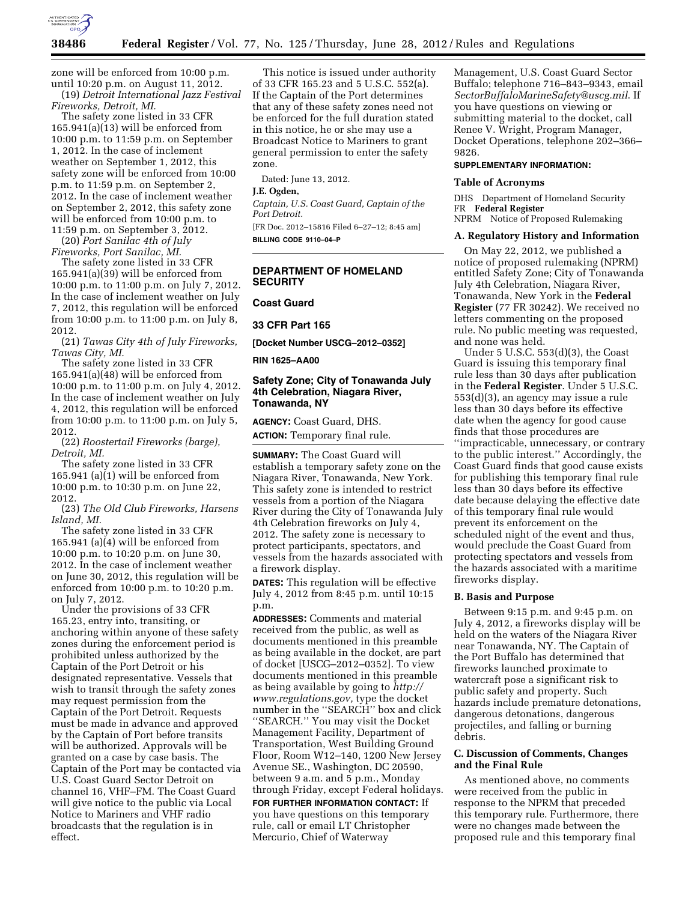

zone will be enforced from 10:00 p.m. until 10:20 p.m. on August 11, 2012. (19) *Detroit International Jazz Festival* 

*Fireworks, Detroit, MI.*  The safety zone listed in 33 CFR 165.941(a)(13) will be enforced from 10:00 p.m. to 11:59 p.m. on September 1, 2012. In the case of inclement weather on September 1, 2012, this safety zone will be enforced from 10:00 p.m. to 11:59 p.m. on September 2, 2012. In the case of inclement weather on September 2, 2012, this safety zone will be enforced from 10:00 p.m. to 11:59 p.m. on September 3, 2012.

(20) *Port Sanilac 4th of July Fireworks, Port Sanilac, MI.* 

The safety zone listed in 33 CFR  $165.941(a)(39)$  will be enforced from 10:00 p.m. to 11:00 p.m. on July 7, 2012. In the case of inclement weather on July 7, 2012, this regulation will be enforced from 10:00 p.m. to 11:00 p.m. on July 8, 2012.

(21) *Tawas City 4th of July Fireworks, Tawas City, MI.* 

The safety zone listed in 33 CFR 165.941(a)(48) will be enforced from 10:00 p.m. to 11:00 p.m. on July 4, 2012. In the case of inclement weather on July 4, 2012, this regulation will be enforced from 10:00 p.m. to 11:00 p.m. on July 5, 2012.

(22) *Roostertail Fireworks (barge), Detroit, MI.* 

The safety zone listed in 33 CFR 165.941 (a)(1) will be enforced from 10:00 p.m. to 10:30 p.m. on June 22, 2012.

(23) *The Old Club Fireworks, Harsens Island, MI.* 

The safety zone listed in 33 CFR 165.941 (a)(4) will be enforced from 10:00 p.m. to 10:20 p.m. on June 30, 2012. In the case of inclement weather on June 30, 2012, this regulation will be enforced from 10:00 p.m. to 10:20 p.m. on July 7, 2012.

Under the provisions of 33 CFR 165.23, entry into, transiting, or anchoring within anyone of these safety zones during the enforcement period is prohibited unless authorized by the Captain of the Port Detroit or his designated representative. Vessels that wish to transit through the safety zones may request permission from the Captain of the Port Detroit. Requests must be made in advance and approved by the Captain of Port before transits will be authorized. Approvals will be granted on a case by case basis. The Captain of the Port may be contacted via U.S. Coast Guard Sector Detroit on channel 16, VHF–FM. The Coast Guard will give notice to the public via Local Notice to Mariners and VHF radio broadcasts that the regulation is in effect.

This notice is issued under authority of 33 CFR 165.23 and 5 U.S.C. 552(a). If the Captain of the Port determines that any of these safety zones need not be enforced for the full duration stated in this notice, he or she may use a Broadcast Notice to Mariners to grant general permission to enter the safety zone.

Dated: June 13, 2012.

## **J.E. Ogden,**

*Captain, U.S. Coast Guard, Captain of the Port Detroit.* 

[FR Doc. 2012–15816 Filed 6–27–12; 8:45 am] **BILLING CODE 9110–04–P** 

# **DEPARTMENT OF HOMELAND SECURITY**

## **Coast Guard**

**33 CFR Part 165** 

**[Docket Number USCG–2012–0352]** 

#### **RIN 1625–AA00**

# **Safety Zone; City of Tonawanda July 4th Celebration, Niagara River, Tonawanda, NY**

**AGENCY:** Coast Guard, DHS.

**ACTION:** Temporary final rule.

**SUMMARY:** The Coast Guard will establish a temporary safety zone on the Niagara River, Tonawanda, New York. This safety zone is intended to restrict vessels from a portion of the Niagara River during the City of Tonawanda July 4th Celebration fireworks on July 4, 2012. The safety zone is necessary to protect participants, spectators, and vessels from the hazards associated with a firework display.

**DATES:** This regulation will be effective July 4, 2012 from 8:45 p.m. until 10:15 p.m.

**ADDRESSES:** Comments and material received from the public, as well as documents mentioned in this preamble as being available in the docket, are part of docket [USCG–2012–0352]. To view documents mentioned in this preamble as being available by going to *[http://](http://www.regulations.gov)  [www.regulations.gov,](http://www.regulations.gov)* type the docket number in the ''SEARCH'' box and click ''SEARCH.'' You may visit the Docket Management Facility, Department of Transportation, West Building Ground Floor, Room W12–140, 1200 New Jersey Avenue SE., Washington, DC 20590, between 9 a.m. and 5 p.m., Monday through Friday, except Federal holidays.

**FOR FURTHER INFORMATION CONTACT:** If you have questions on this temporary rule, call or email LT Christopher Mercurio, Chief of Waterway

Management, U.S. Coast Guard Sector Buffalo; telephone 716–843–9343, email *[SectorBuffaloMarineSafety@uscg.mil](mailto:SectorBuffaloMarineSafety@uscg.mil)*. If you have questions on viewing or submitting material to the docket, call Renee V. Wright, Program Manager, Docket Operations, telephone 202–366– 9826.

## **SUPPLEMENTARY INFORMATION:**

#### **Table of Acronyms**

DHS Department of Homeland Security FR **Federal Register**  NPRM Notice of Proposed Rulemaking

# **A. Regulatory History and Information**

On May 22, 2012, we published a notice of proposed rulemaking (NPRM) entitled Safety Zone; City of Tonawanda July 4th Celebration, Niagara River, Tonawanda, New York in the **Federal Register** (77 FR 30242). We received no letters commenting on the proposed rule. No public meeting was requested, and none was held.

Under 5 U.S.C. 553(d)(3), the Coast Guard is issuing this temporary final rule less than 30 days after publication in the **Federal Register**. Under 5 U.S.C. 553(d)(3), an agency may issue a rule less than 30 days before its effective date when the agency for good cause finds that those procedures are ''impracticable, unnecessary, or contrary to the public interest.'' Accordingly, the Coast Guard finds that good cause exists for publishing this temporary final rule less than 30 days before its effective date because delaying the effective date of this temporary final rule would prevent its enforcement on the scheduled night of the event and thus, would preclude the Coast Guard from protecting spectators and vessels from the hazards associated with a maritime fireworks display.

#### **B. Basis and Purpose**

Between 9:15 p.m. and 9:45 p.m. on July 4, 2012, a fireworks display will be held on the waters of the Niagara River near Tonawanda, NY. The Captain of the Port Buffalo has determined that fireworks launched proximate to watercraft pose a significant risk to public safety and property. Such hazards include premature detonations, dangerous detonations, dangerous projectiles, and falling or burning debris.

## **C. Discussion of Comments, Changes and the Final Rule**

As mentioned above, no comments were received from the public in response to the NPRM that preceded this temporary rule. Furthermore, there were no changes made between the proposed rule and this temporary final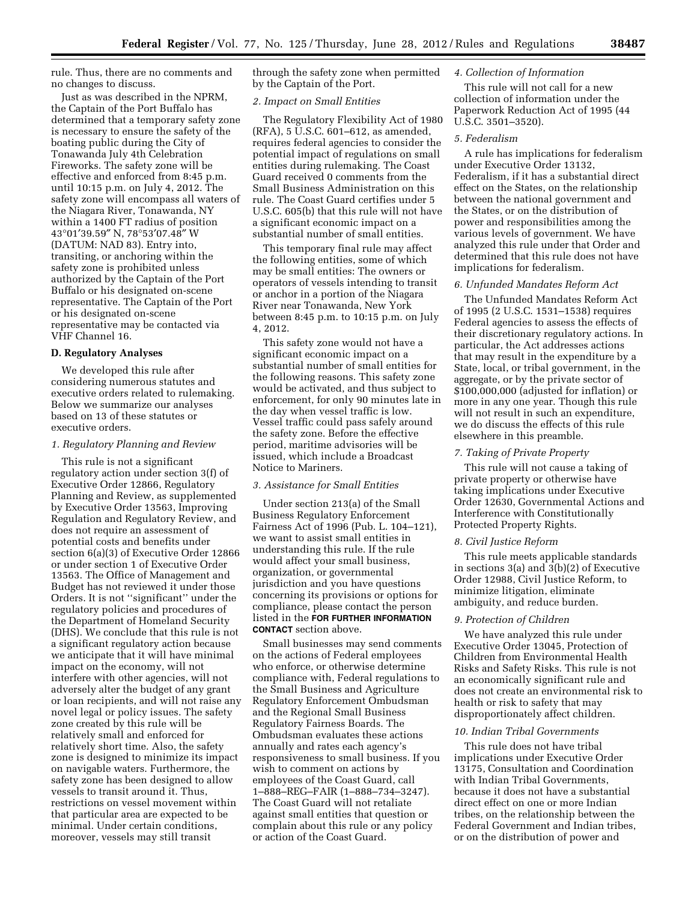rule. Thus, there are no comments and no changes to discuss.

Just as was described in the NPRM, the Captain of the Port Buffalo has determined that a temporary safety zone is necessary to ensure the safety of the boating public during the City of Tonawanda July 4th Celebration Fireworks. The safety zone will be effective and enforced from 8:45 p.m. until 10:15 p.m. on July 4, 2012. The safety zone will encompass all waters of the Niagara River, Tonawanda, NY within a 1400 FT radius of position 43°01′39.59″ N, 78°53′07.48″ W (DATUM: NAD 83). Entry into, transiting, or anchoring within the safety zone is prohibited unless authorized by the Captain of the Port Buffalo or his designated on-scene representative. The Captain of the Port or his designated on-scene representative may be contacted via VHF Channel 16.

#### **D. Regulatory Analyses**

We developed this rule after considering numerous statutes and executive orders related to rulemaking. Below we summarize our analyses based on 13 of these statutes or executive orders.

### *1. Regulatory Planning and Review*

This rule is not a significant regulatory action under section 3(f) of Executive Order 12866, Regulatory Planning and Review, as supplemented by Executive Order 13563, Improving Regulation and Regulatory Review, and does not require an assessment of potential costs and benefits under section 6(a)(3) of Executive Order 12866 or under section 1 of Executive Order 13563. The Office of Management and Budget has not reviewed it under those Orders. It is not ''significant'' under the regulatory policies and procedures of the Department of Homeland Security (DHS). We conclude that this rule is not a significant regulatory action because we anticipate that it will have minimal impact on the economy, will not interfere with other agencies, will not adversely alter the budget of any grant or loan recipients, and will not raise any novel legal or policy issues. The safety zone created by this rule will be relatively small and enforced for relatively short time. Also, the safety zone is designed to minimize its impact on navigable waters. Furthermore, the safety zone has been designed to allow vessels to transit around it. Thus, restrictions on vessel movement within that particular area are expected to be minimal. Under certain conditions, moreover, vessels may still transit

through the safety zone when permitted by the Captain of the Port.

## *2. Impact on Small Entities*

The Regulatory Flexibility Act of 1980 (RFA), 5 U.S.C. 601–612, as amended, requires federal agencies to consider the potential impact of regulations on small entities during rulemaking. The Coast Guard received 0 comments from the Small Business Administration on this rule. The Coast Guard certifies under 5 U.S.C. 605(b) that this rule will not have a significant economic impact on a substantial number of small entities.

This temporary final rule may affect the following entities, some of which may be small entities: The owners or operators of vessels intending to transit or anchor in a portion of the Niagara River near Tonawanda, New York between 8:45 p.m. to 10:15 p.m. on July 4, 2012.

This safety zone would not have a significant economic impact on a substantial number of small entities for the following reasons. This safety zone would be activated, and thus subject to enforcement, for only 90 minutes late in the day when vessel traffic is low. Vessel traffic could pass safely around the safety zone. Before the effective period, maritime advisories will be issued, which include a Broadcast Notice to Mariners.

### *3. Assistance for Small Entities*

Under section 213(a) of the Small Business Regulatory Enforcement Fairness Act of 1996 (Pub. L. 104–121), we want to assist small entities in understanding this rule. If the rule would affect your small business, organization, or governmental jurisdiction and you have questions concerning its provisions or options for compliance, please contact the person listed in the **FOR FURTHER INFORMATION CONTACT** section above.

Small businesses may send comments on the actions of Federal employees who enforce, or otherwise determine compliance with, Federal regulations to the Small Business and Agriculture Regulatory Enforcement Ombudsman and the Regional Small Business Regulatory Fairness Boards. The Ombudsman evaluates these actions annually and rates each agency's responsiveness to small business. If you wish to comment on actions by employees of the Coast Guard, call 1–888–REG–FAIR (1–888–734–3247). The Coast Guard will not retaliate against small entities that question or complain about this rule or any policy or action of the Coast Guard.

# *4. Collection of Information*

This rule will not call for a new collection of information under the Paperwork Reduction Act of 1995 (44 U.S.C. 3501–3520).

# *5. Federalism*

A rule has implications for federalism under Executive Order 13132, Federalism, if it has a substantial direct effect on the States, on the relationship between the national government and the States, or on the distribution of power and responsibilities among the various levels of government. We have analyzed this rule under that Order and determined that this rule does not have implications for federalism.

### *6. Unfunded Mandates Reform Act*

The Unfunded Mandates Reform Act of 1995 (2 U.S.C. 1531–1538) requires Federal agencies to assess the effects of their discretionary regulatory actions. In particular, the Act addresses actions that may result in the expenditure by a State, local, or tribal government, in the aggregate, or by the private sector of \$100,000,000 (adjusted for inflation) or more in any one year. Though this rule will not result in such an expenditure, we do discuss the effects of this rule elsewhere in this preamble.

## *7. Taking of Private Property*

This rule will not cause a taking of private property or otherwise have taking implications under Executive Order 12630, Governmental Actions and Interference with Constitutionally Protected Property Rights.

### *8. Civil Justice Reform*

This rule meets applicable standards in sections 3(a) and 3(b)(2) of Executive Order 12988, Civil Justice Reform, to minimize litigation, eliminate ambiguity, and reduce burden.

## *9. Protection of Children*

We have analyzed this rule under Executive Order 13045, Protection of Children from Environmental Health Risks and Safety Risks. This rule is not an economically significant rule and does not create an environmental risk to health or risk to safety that may disproportionately affect children.

# *10. Indian Tribal Governments*

This rule does not have tribal implications under Executive Order 13175, Consultation and Coordination with Indian Tribal Governments, because it does not have a substantial direct effect on one or more Indian tribes, on the relationship between the Federal Government and Indian tribes, or on the distribution of power and